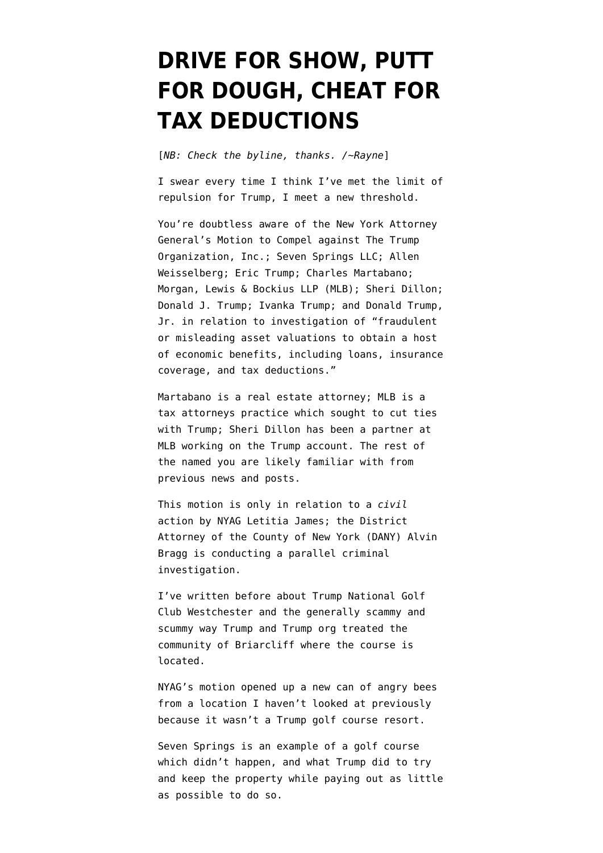## **[DRIVE FOR SHOW, PUTT](https://www.emptywheel.net/2022/01/20/drive-for-show-putt-for-dough-cheat-for-tax-deductions/) [FOR DOUGH, CHEAT FOR](https://www.emptywheel.net/2022/01/20/drive-for-show-putt-for-dough-cheat-for-tax-deductions/) [TAX DEDUCTIONS](https://www.emptywheel.net/2022/01/20/drive-for-show-putt-for-dough-cheat-for-tax-deductions/)**

[*NB: Check the byline, thanks. /~Rayne*]

I swear every time I think I've met the limit of repulsion for Trump, I meet a new threshold.

You're doubtless aware of the New York Attorney General's [Motion to Compel](https://ag.ny.gov/press-release/2022/attorney-general-james-takes-action-force-donald-j-trump-donald-trump-jr-and) against The Trump Organization, Inc.; Seven Springs LLC; Allen Weisselberg; Eric Trump; Charles Martabano; Morgan, Lewis & Bockius LLP (MLB); Sheri Dillon; Donald J. Trump; Ivanka Trump; and Donald Trump, Jr. in relation to investigation of "fraudulent or misleading asset valuations to obtain a host of economic benefits, including loans, insurance coverage, and tax deductions."

Martabano is a real estate attorney; MLB is a tax attorneys practice which [sought to cut ties](https://www.law.com/americanlawyer/2021/01/25/morgan-lewis-split-with-trump-may-not-be-easy/?slreturn=20220019222832) with Trump; [Sheri Dillon](https://thelawyerbubble.com/tag/sheri-dillon/) has been a partner at MLB working on the Trump account. The rest of the named you are likely familiar with from previous news and posts.

This motion is only in relation to a *civil* action by NYAG [Letitia James](https://en.wikipedia.org/wiki/Letitia_James); the District Attorney of the County of New York (DANY) [Alvin](https://en.wikipedia.org/wiki/Alvin_Bragg) [Bragg](https://en.wikipedia.org/wiki/Alvin_Bragg) is conducting a parallel criminal investigation.

I've written before about [Trump National Golf](https://www.emptywheel.net/2021/11/08/not-so-casual-water-insurance-fraud-alleged-at-trump-westchester/) [Club Westchester](https://www.emptywheel.net/2021/11/08/not-so-casual-water-insurance-fraud-alleged-at-trump-westchester/) and the generally scammy and scummy way Trump and Trump org treated the community of Briarcliff where the course is located.

NYAG's motion opened up a new can of angry bees from a location I haven't looked at previously because it wasn't a Trump golf course resort.

Seven Springs is an example of a golf course which didn't happen, and what Trump did to try and keep the property while paying out as little as possible to do so.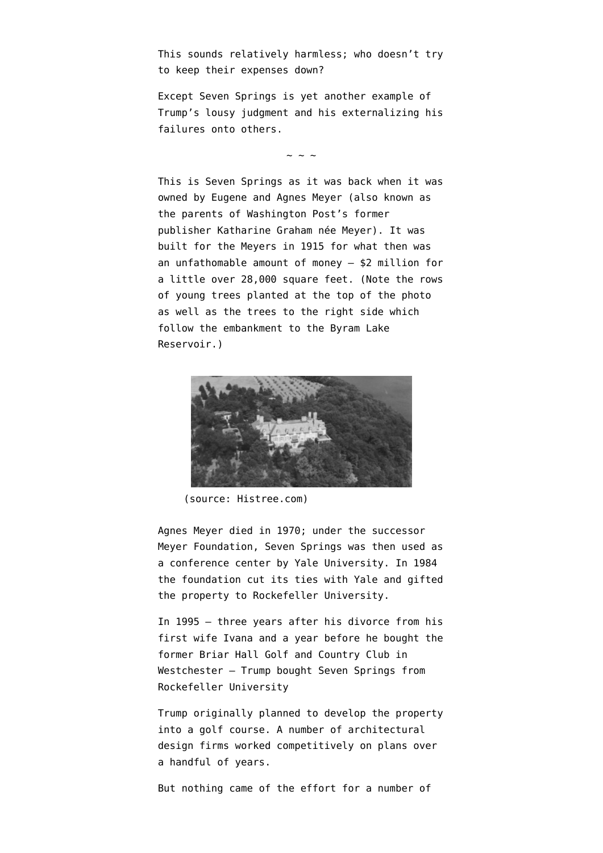This sounds relatively harmless; who doesn't try to keep their expenses down?

Except Seven Springs is yet another example of Trump's lousy judgment and his externalizing his failures onto others.

 $\sim$  ~ ~

This is Seven Springs as it was back when it was owned by Eugene and Agnes Meyer (also known as the parents of Washington Post's former publisher [Katharine Graham](https://en.wikipedia.org/wiki/Katharine_Graham) née Meyer). It was [built for the Meyers in 1915](https://househistree.com/houses/seven-springs) for what then was an unfathomable amount of money – \$2 million for a little over 28,000 square feet. (Note the rows of young trees planted at the top of the photo as well as the trees to the right side which follow the embankment to the Byram Lake Reservoir.)



(source: Histree.com)

Agnes Meyer died in 1970; under the successor Meyer Foundation, Seven Springs was then used as a conference center by Yale University. In 1984 the foundation cut its ties with Yale and gifted the property to Rockefeller University.

In 1995 – three years after his divorce from his first wife Ivana and a year before he bought the former [Briar Hall Golf and Country Club](https://en.wikipedia.org/wiki/Trump_National_Golf_Club_Westchester) in Westchester – Trump bought Seven Springs from Rockefeller University

Trump originally planned to develop the property into a golf course. A number of architectural design firms worked competitively on plans over a handful of years.

But nothing came of the effort for a number of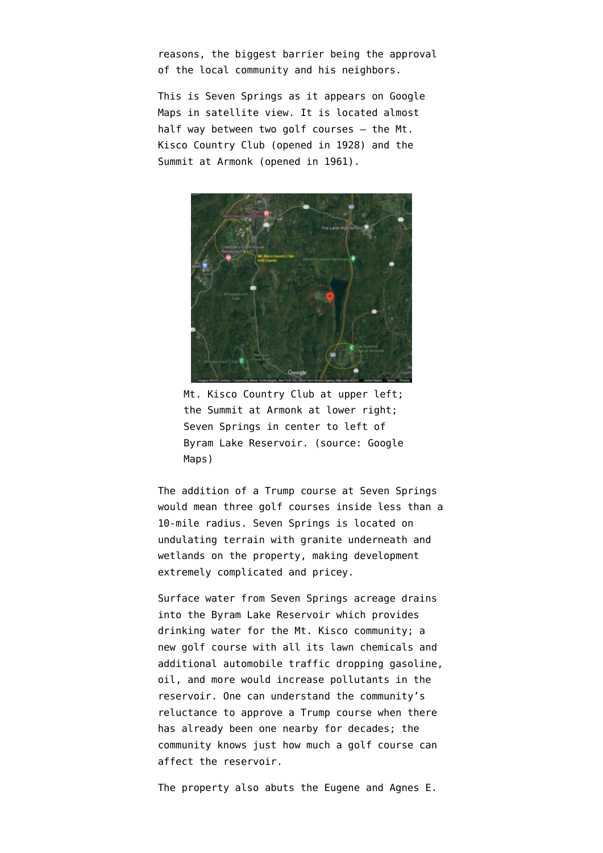reasons, the biggest barrier being the approval of the local community and his neighbors.

This is Seven Springs as it appears on Google Maps in satellite view. It is located almost half way between two golf courses – the Mt. Kisco Country Club (opened in 1928) and the Summit at Armonk (opened in 1961).



Mt. Kisco Country Club at upper left; the Summit at Armonk at lower right; Seven Springs in center to left of Byram Lake Reservoir. (source: Google Maps)

The addition of a Trump course at Seven Springs would mean three golf courses inside less than a 10-mile radius. Seven Springs is located on undulating terrain with granite underneath and wetlands on the property, making development extremely complicated and pricey.

Surface water from Seven Springs acreage drains into the Byram Lake Reservoir which provides drinking water for the Mt. Kisco community; a new golf course with all its lawn chemicals and additional automobile traffic dropping gasoline, oil, and more would increase pollutants in the reservoir. One can understand the community's reluctance to approve a Trump course when there has already been one nearby for decades; the community knows just how much a golf course can affect the reservoir.

The property also abuts the Eugene and Agnes E.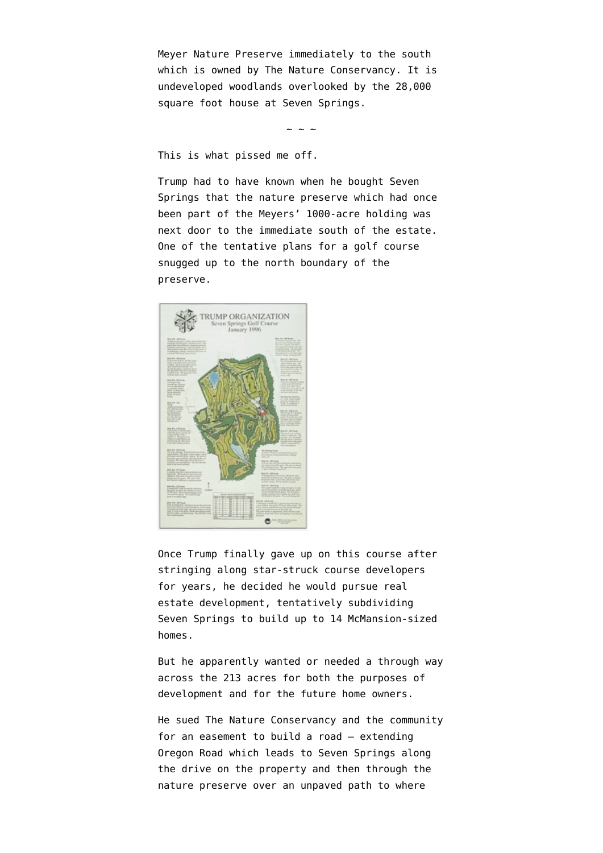Meyer Nature Preserve immediately to the south which is owned by [The Nature Conservancy.](https://en.wikipedia.org/wiki/The_Nature_Conservancy) It is undeveloped woodlands overlooked by the 28,000 square foot house at Seven Springs.

 $\sim$  ~ ~

This is what pissed me off.

Trump had to have known when he bought Seven Springs that the nature preserve which had once been part of the Meyers' 1000-acre holding was next door to the immediate south of the estate. One of the tentative plans for a golf course snugged up to the north boundary of the preserve.



Once Trump finally gave up on this course after [stringing along star-struck course developers](https://www.jdrewrogers.com/80/trump-international-at-seven-springs) [for years,](https://www.jdrewrogers.com/80/trump-international-at-seven-springs) he decided he would pursue real estate development, tentatively subdividing Seven Springs to build up to 14 McMansion-sized homes.

But he apparently wanted or needed a through way across the 213 acres for both the purposes of development and for the future home owners.

He [sued The Nature Conservancy and the community](https://www.washingtonpost.com/wp-stat/graphics/politics/trump-archive/docs/seven-springs-llc-v-nature-conservancy-2006-supporting-pleadings.pdf) for an easement to build a road — extending Oregon Road which leads to Seven Springs along the drive on the property and then through the nature preserve over an unpaved path to where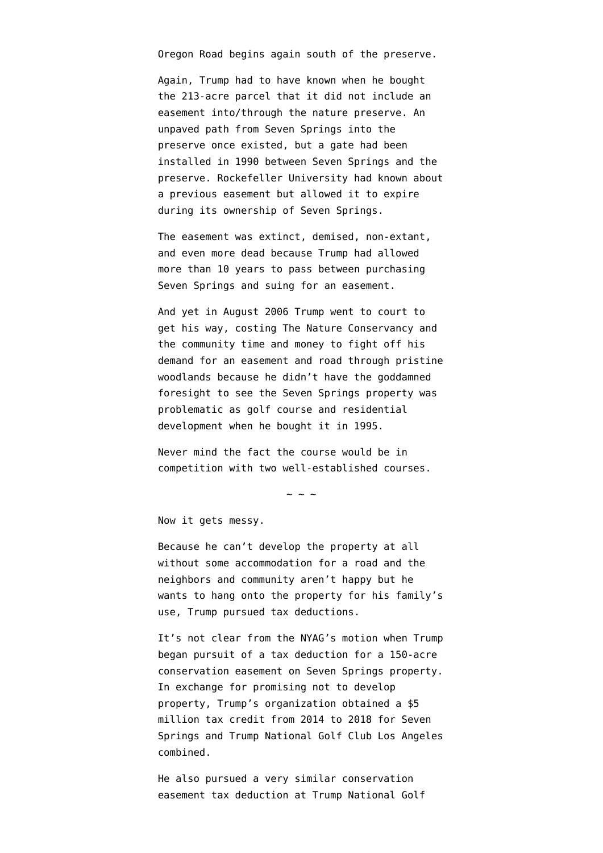Oregon Road begins again south of the preserve.

Again, Trump had to have known when he bought the 213-acre parcel that it did not include an easement into/through the nature preserve. An unpaved path from Seven Springs into the preserve once existed, but a gate had been installed in 1990 between Seven Springs and the preserve. Rockefeller University had known about a previous easement but allowed it to expire during its ownership of Seven Springs.

The easement was extinct, demised, non-extant, and even more dead because Trump had allowed more than 10 years to pass between purchasing Seven Springs and suing for an easement.

And yet in August 2006 Trump went to court to get his way, costing The Nature Conservancy and the community time and money to fight off his demand for an easement and road through pristine woodlands because he didn't have the goddamned foresight to see the Seven Springs property was problematic as golf course and residential development when he bought it in 1995.

Never mind the fact the course would be in competition with two well-established courses.

 $\sim$  ~ ~

Now it gets messy.

Because he can't develop the property at all without some accommodation for a road and the neighbors and community aren't happy but he wants to hang onto the property for his family's use, Trump pursued tax deductions.

It's not clear from the NYAG's motion when Trump began pursuit of a tax deduction for a 150-acre conservation easement on Seven Springs property. In exchange for promising not to develop property, Trump's organization obtained a \$5 million tax credit from 2014 to 2018 for Seven Springs and Trump National Golf Club Los Angeles combined.

He also [pursued a very similar conservation](https://www.reuters.com/world/us/special-report-how-trump-scored-big-tax-break-conserving-golf-range-2021-04-30/) [easement tax deduction](https://www.reuters.com/world/us/special-report-how-trump-scored-big-tax-break-conserving-golf-range-2021-04-30/) at Trump National Golf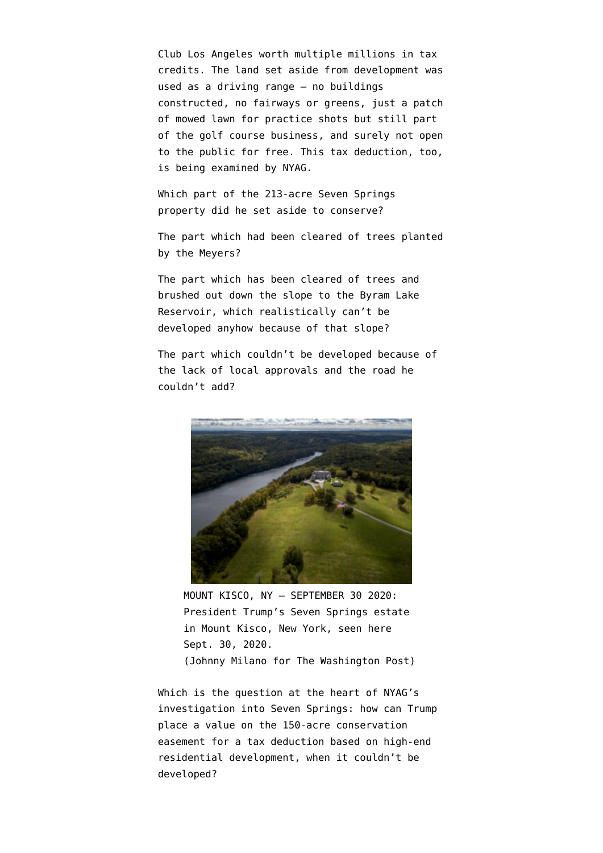Club Los Angeles worth multiple millions in tax credits. The land set aside from development was used as a driving range – no buildings constructed, no fairways or greens, just a patch of mowed lawn for practice shots but still part of the golf course business, and surely not open to the public for free. This tax deduction, too, is being examined by NYAG.

Which part of the 213-acre Seven Springs property did he set aside to conserve?

The part which had been cleared of trees planted by the Meyers?

The part which has been cleared of trees and [brushed out down the slope](https://www.gannett-cdn.com/presto/2020/09/29/PWES/2599e623-1e5b-48d1-9ff3-08cc88f47c33-pc092920_trump_house_2.jpg) to the Byram Lake Reservoir, which realistically can't be developed anyhow because of that slope?

The part which couldn't be developed because of the lack of local approvals and the road he couldn't add?



MOUNT KISCO, NY – SEPTEMBER 30 2020: President Trump's Seven Springs estate in Mount Kisco, New York, seen here Sept. 30, 2020. (Johnny Milano for The Washington Post)

Which is the question at the heart of NYAG's investigation into Seven Springs: how can Trump place a value on the 150-acre conservation easement for a tax deduction based on high-end residential development, when it couldn't be developed?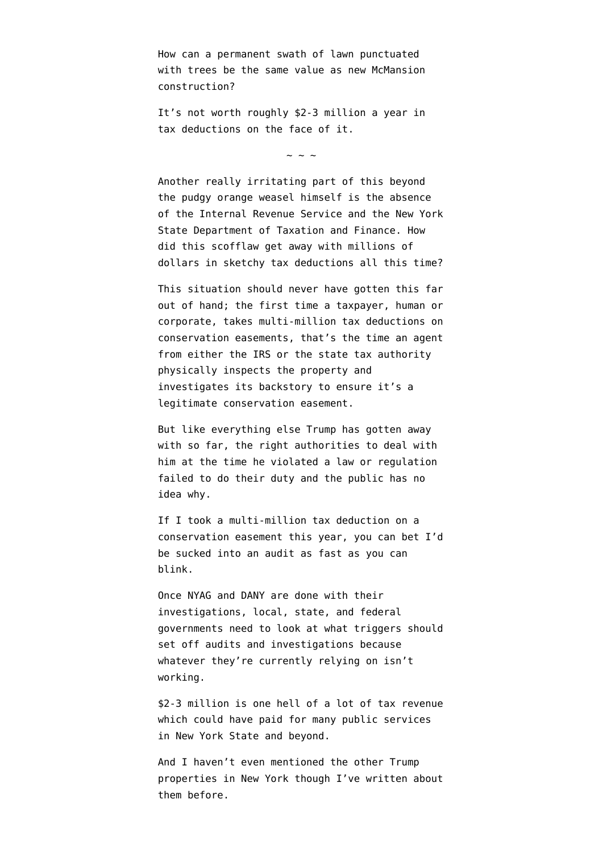How can a permanent swath of lawn punctuated with trees be the same value as new McMansion construction?

It's not worth roughly \$2-3 million a year in tax deductions on the face of it.

 $\sim$  ~ ~

Another really irritating part of this beyond the pudgy orange weasel himself is the absence of the Internal Revenue Service and the New York State Department of Taxation and Finance. How did this scofflaw get away with millions of dollars in sketchy tax deductions all this time?

This situation should never have gotten this far out of hand; the first time a taxpayer, human or corporate, takes multi-million tax deductions on conservation easements, that's the time an agent from either the IRS or the state tax authority physically inspects the property and investigates its backstory to ensure it's a legitimate conservation easement.

But like everything else Trump has gotten away with so far, the right authorities to deal with him at the time he violated a law or regulation failed to do their duty and the public has no idea why.

If I took a multi-million tax deduction on a conservation easement this year, you can bet I'd be sucked into an audit as fast as you can blink.

Once NYAG and DANY are done with their investigations, local, state, and federal governments need to look at what triggers should set off audits and investigations because whatever they're currently relying on isn't working.

\$2-3 million is one hell of a lot of tax revenue which could have paid for many public services in New York State and beyond.

And I haven't even mentioned the other Trump properties in New York though I've written about them before.